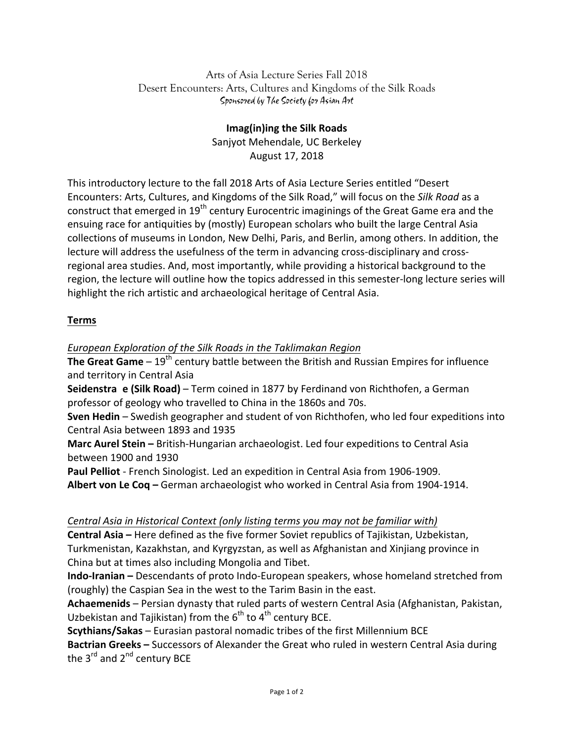Arts of Asia Lecture Series Fall 2018 Desert Encounters: Arts, Cultures and Kingdoms of the Silk Roads Sponsored by The Society for Asian Art

> **Imag(in)ing the Silk Roads** Sanjyot Mehendale, UC Berkeley August 17, 2018

This introductory lecture to the fall 2018 Arts of Asia Lecture Series entitled "Desert Encounters: Arts, Cultures, and Kingdoms of the Silk Road," will focus on the Silk Road as a construct that emerged in 19<sup>th</sup> century Eurocentric imaginings of the Great Game era and the ensuing race for antiquities by (mostly) European scholars who built the large Central Asia collections of museums in London, New Delhi, Paris, and Berlin, among others. In addition, the lecture will address the usefulness of the term in advancing cross-disciplinary and crossregional area studies. And, most importantly, while providing a historical background to the region, the lecture will outline how the topics addressed in this semester-long lecture series will highlight the rich artistic and archaeological heritage of Central Asia.

## **Terms**

*European Exploration of the Silk Roads in the Taklimakan Region*

**The Great Game** –  $19<sup>th</sup>$  century battle between the British and Russian Empires for influence and territory in Central Asia

**Seidenstra e** (Silk Road) – Term coined in 1877 by Ferdinand von Richthofen, a German professor of geology who travelled to China in the 1860s and 70s.

**Sven Hedin** – Swedish geographer and student of von Richthofen, who led four expeditions into Central Asia between 1893 and 1935

**Marc Aurel Stein** – British-Hungarian archaeologist. Led four expeditions to Central Asia between 1900 and 1930

**Paul Pelliot** - French Sinologist. Led an expedition in Central Asia from 1906-1909.

**Albert von Le Coq** – German archaeologist who worked in Central Asia from 1904-1914.

## *Central Asia in Historical Context (only listing terms you may not be familiar with)*

**Central Asia** – Here defined as the five former Soviet republics of Tajikistan, Uzbekistan, Turkmenistan, Kazakhstan, and Kyrgyzstan, as well as Afghanistan and Xinjiang province in China but at times also including Mongolia and Tibet.

**Indo-Iranian** – Descendants of proto Indo-European speakers, whose homeland stretched from (roughly) the Caspian Sea in the west to the Tarim Basin in the east.

Achaemenids – Persian dynasty that ruled parts of western Central Asia (Afghanistan, Pakistan, Uzbekistan and Tajikistan) from the  $6<sup>th</sup>$  to  $4<sup>th</sup>$  century BCE.

**Scythians/Sakas** – Eurasian pastoral nomadic tribes of the first Millennium BCE

**Bactrian Greeks** - Successors of Alexander the Great who ruled in western Central Asia during the  $3^{\text{rd}}$  and  $2^{\text{nd}}$  century BCE